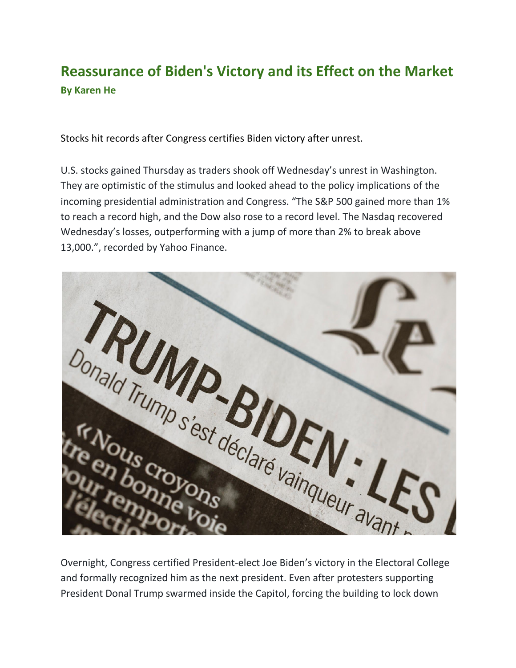## **Reassurance of Biden's Victory and its Effect on the Market By Karen He**

Stocks hit records after Congress certifies Biden victory after unrest.

U.S. stocks gained Thursday as traders shook off Wednesday's unrest in Washington. They are optimistic of the stimulus and looked ahead to the policy implications of the incoming presidential administration and Congress. "The S&P 500 gained more than 1% to reach a record high, and the Dow also rose to a record level. The Nasdaq recovered Wednesday's losses, outperforming with a jump of more than 2% to break above 13,000.", recorded by Yahoo Finance.



and formally recognized him as the next president. Even after protesters supporting President Donal Trump swarmed inside the Capitol, forcing the building to lock down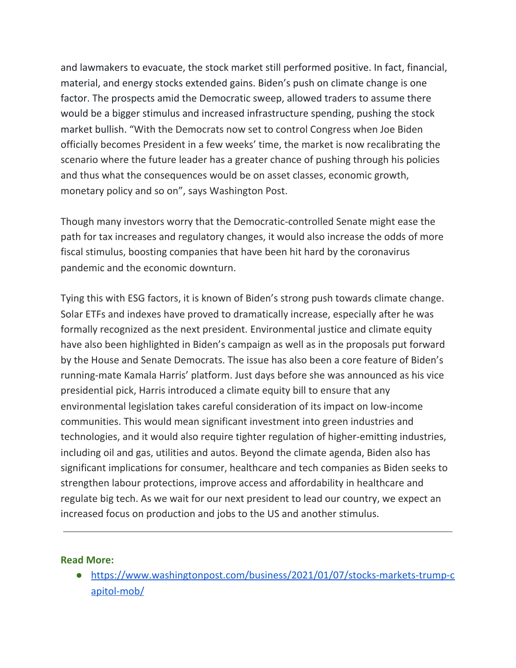and lawmakers to evacuate, the stock market still performed positive. In fact, financial, material, and energy stocks extended gains. Biden's push on climate change is one factor. The prospects amid the Democratic sweep, allowed traders to assume there would be a bigger stimulus and increased infrastructure spending, pushing the stock market bullish. "With the Democrats now set to control Congress when Joe Biden officially becomes President in a few weeks' time, the market is now recalibrating the scenario where the future leader has a greater chance of pushing through his policies and thus what the consequences would be on asset classes, economic growth, monetary policy and so on", says Washington Post.

Though many investors worry that the Democratic-controlled Senate might ease the path for tax increases and regulatory changes, it would also increase the odds of more fiscal stimulus, boosting companies that have been hit hard by the coronavirus pandemic and the economic downturn.

Tying this with ESG factors, it is known of Biden's strong push towards climate change. Solar ETFs and indexes have proved to dramatically increase, especially after he was formally recognized as the next president. Environmental justice and climate equity have also been highlighted in Biden's campaign as well as in the proposals put forward by the House and Senate Democrats. The issue has also been a core feature of Biden's running-mate Kamala Harris' platform. Just days before she was announced as his vice presidential pick, Harris introduced a climate equity bill to ensure that any environmental legislation takes careful consideration of its impact on low-income communities. This would mean significant investment into green industries and technologies, and it would also require tighter regulation of higher-emitting industries, including oil and gas, utilities and autos. Beyond the climate agenda, Biden also has significant implications for consumer, healthcare and tech companies as Biden seeks to strengthen labour protections, improve access and affordability in healthcare and regulate big tech. As we wait for our next president to lead our country, we expect an increased focus on production and jobs to the US and another stimulus.

## **Read More:**

● [https://www.washingtonpost.com/business/2021/01/07/stocks-markets-trump-c](https://www.washingtonpost.com/business/2021/01/07/stocks-markets-trump-capitol-mob/) [apitol-mob/](https://www.washingtonpost.com/business/2021/01/07/stocks-markets-trump-capitol-mob/)